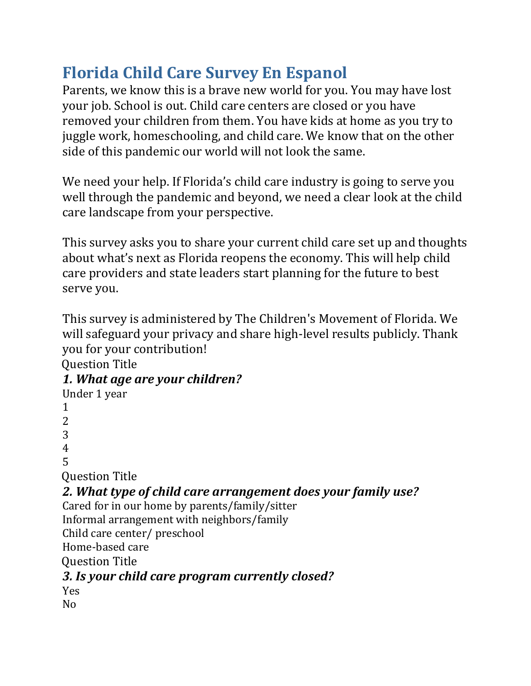# **Florida Child Care Survey En Espanol**

Parents, we know this is a brave new world for you. You may have lost your job. School is out. Child care centers are closed or you have removed your children from them. You have kids at home as you try to juggle work, homeschooling, and child care. We know that on the other side of this pandemic our world will not look the same.

We need your help. If Florida's child care industry is going to serve you well through the pandemic and beyond, we need a clear look at the child care landscape from your perspective.

This survey asks you to share your current child care set up and thoughts about what's next as Florida reopens the economy. This will help child care providers and state leaders start planning for the future to best serve you.

This survey is administered by The Children's Movement of Florida. We will safeguard your privacy and share high-level results publicly. Thank you for your contribution!

Question Title

## *1. What age are your children? w*

Under 1 year 1 2 3 4 5 Question Title *2. What type of child care arrangement does your family use? w* Cared for in our home by parents/family/sitter Informal arrangement with neighbors/family Child care center/ preschool Home-based care Question Title *3. Is your child care program currently closed? w*

Yes No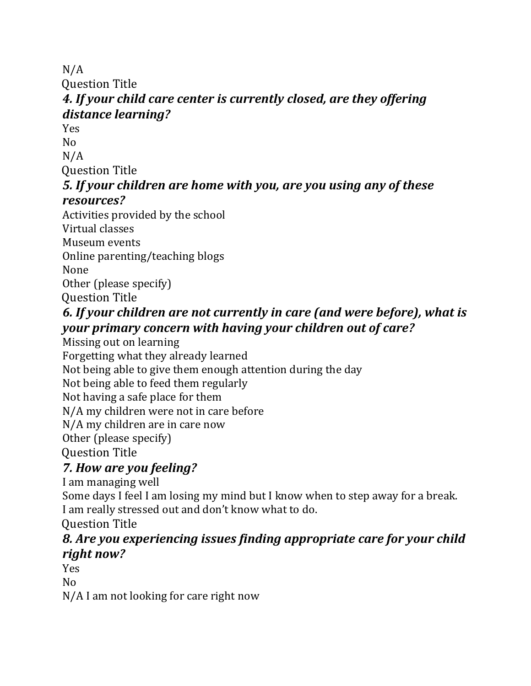N/A

Question Title

## *4. If your child care center is currently closed, are they offering distance learning? w*

Yes No N/A

Question Title

#### *5. If your children are home with you, are you using any of these*  $resources?$

Activities provided by the school Virtual classes Museum events Online parenting/teaching blogs None Other (please specify) Question Title

### *6. If your children are not currently in care (and were before), what is your primary concern with having your children out of care? w*

Missing out on learning

Forgetting what they already learned Not being able to give them enough attention during the day

Not being able to feed them regularly

Not having a safe place for them

N/A my children were not in care before

N/A my children are in care now

Other (please specify)

Question Title

## *7. How are you feeling? w*

I am managing well

Some days I feel I am losing my mind but I know when to step away for a break. I am really stressed out and don't know what to do.

Question Title

### *8. Are you experiencing issues finding appropriate care for your child*  $right now?$

Yes

No

N/A I am not looking for care right now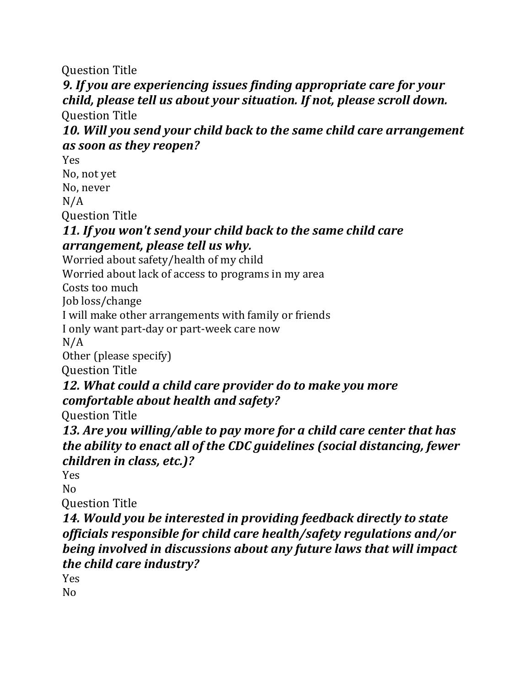Question Title

## *9. If you are experiencing issues finding appropriate care for your child, please tell us about your situation. If not, please scroll down. w*

Question Title

#### *10. Will you send your child back to the same child care arrangement as soon as they reopen?w*

Yes No, not yet No, never N/A

Question Title

#### *11. If you won't send your child back to the same child care arrangement, please tell us why.w*

Worried about safety/health of my child

Worried about lack of access to programs in my area

Costs too much

Job loss/change

I will make other arrangements with family or friends

I only want part-day or part-week care now

 $N/A$ 

Other (please specify)

Question Title

#### *12. What could a child care provider do to make you more comfortable about health and safety? w*

Question Title

*13. Are you willing/able to pay more for a child care center that has the ability to enact all of the CDC guidelines (social distancing, fewer children in class, etc.)? w*

Yes

 $N<sub>0</sub>$ 

Question Title

*14. Would you be interested in providing feedback directly to state officials responsible for child care health/safety regulations and/or being involved in discussions about any future laws that will impact the child care industry? w*

Yes

No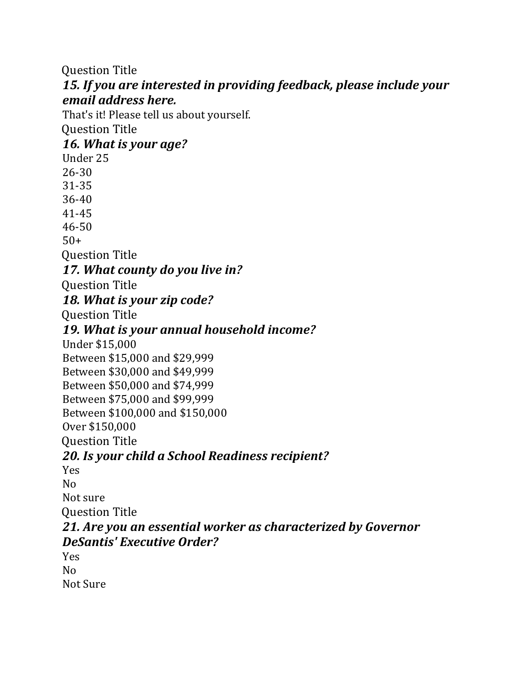Question Title *15. If you are interested in providing feedback, please include your email address here. w* That's it! Please tell us about yourself. Question Title *16. What is your age? w* Under 25 26-30 31-35 36-40 41-45 46-50  $50+$ Question Title *17. What county do you live in? w* Question Title *18. What is your zip code? w* Question Title *19. What is your annual household income? w* Under \$15,000 Between \$15,000 and \$29,999 Between \$30,000 and \$49,999 Between \$50,000 and \$74,999 Between \$75,000 and \$99,999 Between \$100,000 and \$150,000 Over \$150,000 Question Title *20. Is your child a School Readiness recipient? w* Yes No Not sure Question Title *21. Are you an essential worker as characterized by Governor DeSantis' Executive Order? w* Yes No Not Sure